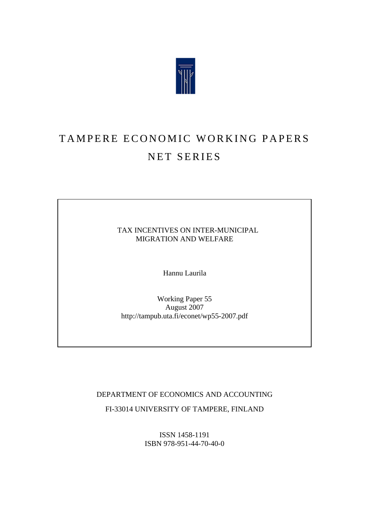

# TAMPERE ECONOMIC WORKING PAPERS NET SERIES

TAX INCENTIVES ON INTER-MUNICIPAL MIGRATION AND WELFARE

Hannu Laurila

Working Paper 55 August 2007 http://tampub.uta.fi/econet/wp55-2007.pdf

DEPARTMENT OF ECONOMICS AND ACCOUNTING

FI-33014 UNIVERSITY OF TAMPERE, FINLAND

ISSN 1458-1191 ISBN 978-951-44-70-40-0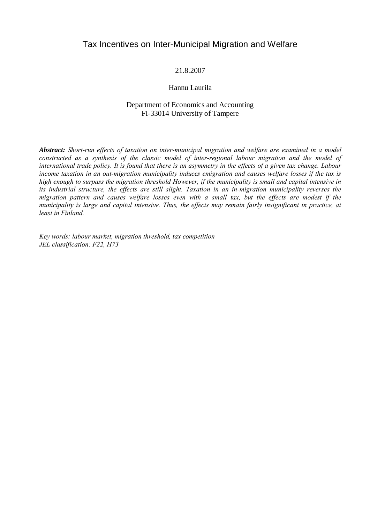## Tax Incentives on Inter-Municipal Migration and Welfare

#### 21.8.2007

#### Hannu Laurila

#### Department of Economics and Accounting FI-33014 University of Tampere

*Abstract: Short-run effects of taxation on inter-municipal migration and welfare are examined in a model constructed as a synthesis of the classic model of inter-regional labour migration and the model of international trade policy. It is found that there is an asymmetry in the effects of a given tax change. Labour income taxation in an out-migration municipality induces emigration and causes welfare losses if the tax is high enough to surpass the migration threshold However, if the municipality is small and capital intensive in its industrial structure, the effects are still slight. Taxation in an in-migration municipality reverses the migration pattern and causes welfare losses even with a small tax, but the effects are modest if the municipality is large and capital intensive. Thus, the effects may remain fairly insignificant in practice, at least in Finland.*

*Key words: labour market, migration threshold, tax competition JEL classification: F22, H73*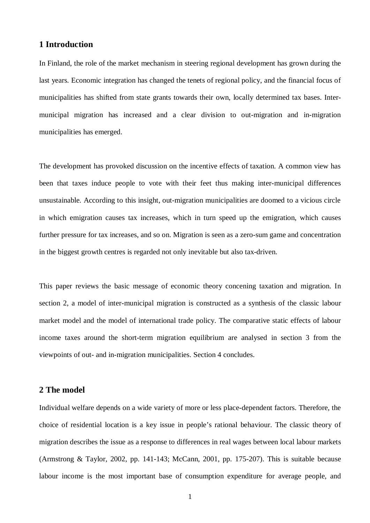#### **1 Introduction**

In Finland, the role of the market mechanism in steering regional development has grown during the last years. Economic integration has changed the tenets of regional policy, and the financial focus of municipalities has shifted from state grants towards their own, locally determined tax bases. Intermunicipal migration has increased and a clear division to out-migration and in-migration municipalities has emerged.

The development has provoked discussion on the incentive effects of taxation. A common view has been that taxes induce people to vote with their feet thus making inter-municipal differences unsustainable. According to this insight, out-migration municipalities are doomed to a vicious circle in which emigration causes tax increases, which in turn speed up the emigration, which causes further pressure for tax increases, and so on. Migration is seen as a zero-sum game and concentration in the biggest growth centres is regarded not only inevitable but also tax-driven.

This paper reviews the basic message of economic theory concening taxation and migration. In section 2, a model of inter-municipal migration is constructed as a synthesis of the classic labour market model and the model of international trade policy. The comparative static effects of labour income taxes around the short-term migration equilibrium are analysed in section 3 from the viewpoints of out- and in-migration municipalities. Section 4 concludes.

#### **2 The model**

Individual welfare depends on a wide variety of more or less place-dependent factors. Therefore, the choice of residential location is a key issue in people's rational behaviour. The classic theory of migration describes the issue as a response to differences in real wages between local labour markets (Armstrong & Taylor, 2002, pp. 141-143; McCann, 2001, pp. 175-207). This is suitable because labour income is the most important base of consumption expenditure for average people, and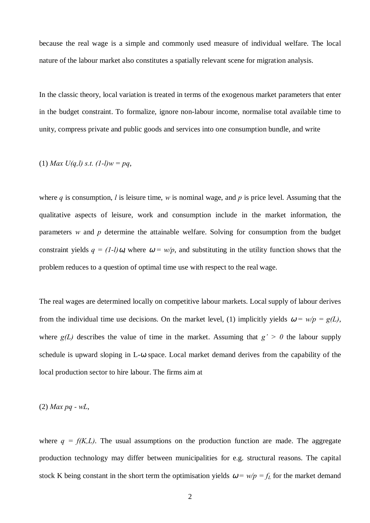because the real wage is a simple and commonly used measure of individual welfare. The local nature of the labour market also constitutes a spatially relevant scene for migration analysis.

In the classic theory, local variation is treated in terms of the exogenous market parameters that enter in the budget constraint. To formalize, ignore non-labour income, normalise total available time to unity, compress private and public goods and services into one consumption bundle, and write

#### (1) *Max U(q,l) s.t. (1-l)w = pq*,

where *q* is consumption, *l* is leisure time, *w* is nominal wage, and *p* is price level. Assuming that the qualitative aspects of leisure, work and consumption include in the market information, the parameters *w* and *p* determine the attainable welfare. Solving for consumption from the budget constraint yields  $q = (1-l)\omega$ , where  $\omega = w/p$ , and substituting in the utility function shows that the problem reduces to a question of optimal time use with respect to the real wage.

The real wages are determined locally on competitive labour markets. Local supply of labour derives from the individual time use decisions. On the market level, (1) implicitly yields  $\omega = w/p = g(L)$ , where  $g(L)$  describes the value of time in the market. Assuming that  $g' > 0$  the labour supply schedule is upward sloping in L-ω space. Local market demand derives from the capability of the local production sector to hire labour. The firms aim at

(2) *Max pq - wL*,

where  $q = f(K,L)$ . The usual assumptions on the production function are made. The aggregate production technology may differ between municipalities for e.g. structural reasons. The capital stock K being constant in the short term the optimisation yields  $\omega = w/p = f_L$  for the market demand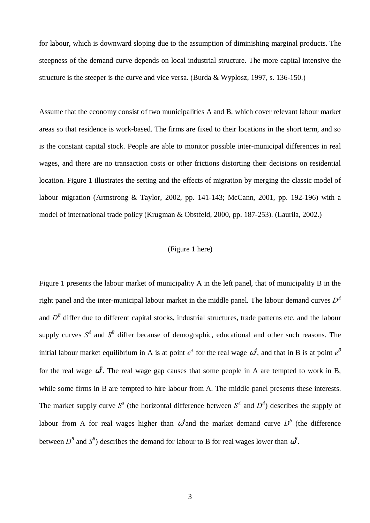for labour, which is downward sloping due to the assumption of diminishing marginal products. The steepness of the demand curve depends on local industrial structure. The more capital intensive the structure is the steeper is the curve and vice versa. (Burda & Wyplosz, 1997, s. 136-150.)

Assume that the economy consist of two municipalities A and B, which cover relevant labour market areas so that residence is work-based. The firms are fixed to their locations in the short term, and so is the constant capital stock. People are able to monitor possible inter-municipal differences in real wages, and there are no transaction costs or other frictions distorting their decisions on residential location. Figure 1 illustrates the setting and the effects of migration by merging the classic model of labour migration (Armstrong & Taylor, 2002, pp. 141-143; McCann, 2001, pp. 192-196) with a model of international trade policy (Krugman & Obstfeld, 2000, pp. 187-253). (Laurila, 2002.)

#### (Figure 1 here)

Figure 1 presents the labour market of municipality A in the left panel, that of municipality B in the right panel and the inter-municipal labour market in the middle panel. The labour demand curves  $D^4$ and  $D<sup>B</sup>$  differ due to different capital stocks, industrial structures, trade patterns etc. and the labour supply curves  $S<sup>4</sup>$  and  $S<sup>B</sup>$  differ because of demographic, educational and other such reasons. The initial labour market equilibrium in A is at point  $e^A$  for the real wage  $\omega^4$ , and that in B is at point  $e^B$ for the real wage  $\omega^{\beta}$ . The real wage gap causes that some people in A are tempted to work in B, while some firms in B are tempted to hire labour from A. The middle panel presents these interests. The market supply curve  $S^a$  (the horizontal difference between  $S^4$  and  $D^4$ ) describes the supply of labour from A for real wages higher than  $\omega^4$  and the market demand curve  $D^b$  (the difference between  $D^B$  and  $S^B$ ) describes the demand for labour to B for real wages lower than  $\omega^B$ .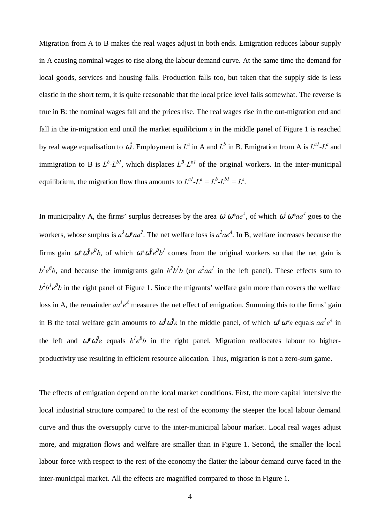Migration from A to B makes the real wages adjust in both ends. Emigration reduces labour supply in A causing nominal wages to rise along the labour demand curve. At the same time the demand for local goods, services and housing falls. Production falls too, but taken that the supply side is less elastic in the short term, it is quite reasonable that the local price level falls somewhat. The reverse is true in B: the nominal wages fall and the prices rise. The real wages rise in the out-migration end and fall in the in-migration end until the market equilibrium  $\epsilon$  in the middle panel of Figure 1 is reached by real wage equalisation to  $\omega^*$ . Employment is  $L^a$  in A and  $L^b$  in B. Emigration from A is  $L^{a1}$ - $L^a$  and immigration to B is  $L^b$ - $L^{b1}$ , which displaces  $L^B$ - $L^{b1}$  of the original workers. In the inter-municipal equilibrium, the migration flow thus amounts to  $L^{al}L^{a} = L^{b}L^{bl} = L^{c}$ .

In municipality A, the firms' surplus decreases by the area  $\omega^4 \omega^* a e^A$ , of which  $\omega^4 \omega^* a a^4$  goes to the workers, whose surplus is  $a^3 \omega^* a a^2$ . The net welfare loss is  $a^2 a e^4$ . In B, welfare increases because the firms gain  $\omega^* \omega^B e^B b$ , of which  $\omega^* \omega^B e^B b^I$  comes from the original workers so that the net gain is  $b^1 e^B b$ , and because the immigrants gain  $b^2 b^1 b$  (or  $a^2 a a^1$  in the left panel). These effects sum to  $b^2b^1e^Bb$  in the right panel of Figure 1. Since the migrants' welfare gain more than covers the welfare loss in A, the remainder  $aa^l e^A$  measures the net effect of emigration. Summing this to the firms' gain in B the total welfare gain amounts to  $\omega^4 \omega^B \varepsilon$  in the middle panel, of which  $\omega^4 \omega^* \varepsilon$  equals  $a a^I e^A$  in the left and  $\omega^* \omega^{\beta} \varepsilon$  equals  $b^{\prime} e^{\beta} b$  in the right panel. Migration reallocates labour to higherproductivity use resulting in efficient resource allocation. Thus, migration is not a zero-sum game.

The effects of emigration depend on the local market conditions. First, the more capital intensive the local industrial structure compared to the rest of the economy the steeper the local labour demand curve and thus the oversupply curve to the inter-municipal labour market. Local real wages adjust more, and migration flows and welfare are smaller than in Figure 1. Second, the smaller the local labour force with respect to the rest of the economy the flatter the labour demand curve faced in the inter-municipal market. All the effects are magnified compared to those in Figure 1.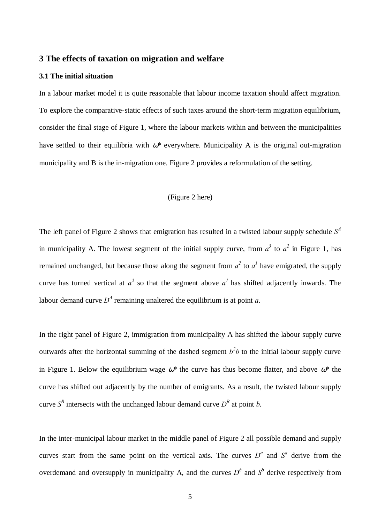### **3 The effects of taxation on migration and welfare**

#### **3.1 The initial situation**

In a labour market model it is quite reasonable that labour income taxation should affect migration. To explore the comparative-static effects of such taxes around the short-term migration equilibrium, consider the final stage of Figure 1, where the labour markets within and between the municipalities have settled to their equilibria with <sup>ω</sup>*\** everywhere. Municipality A is the original out-migration municipality and B is the in-migration one. Figure 2 provides a reformulation of the setting.

#### (Figure 2 here)

The left panel of Figure 2 shows that emigration has resulted in a twisted labour supply schedule  $S<sup>4</sup>$ in municipality A. The lowest segment of the initial supply curve, from  $a^3$  to  $a^2$  in Figure 1, has remained unchanged, but because those along the segment from  $a^2$  to  $a^1$  have emigrated, the supply curve has turned vertical at  $a^2$  so that the segment above  $a^1$  has shifted adjacently inwards. The labour demand curve  $D^4$  remaining unaltered the equilibrium is at point *a*.

In the right panel of Figure 2, immigration from municipality A has shifted the labour supply curve outwards after the horizontal summing of the dashed segment  $b<sup>2</sup>b$  to the initial labour supply curve in Figure 1. Below the equilibrium wage  $\omega^*$  the curve has thus become flatter, and above  $\omega^*$  the curve has shifted out adjacently by the number of emigrants. As a result, the twisted labour supply curve  $S^B$  intersects with the unchanged labour demand curve  $D^B$  at point *b*.

In the inter-municipal labour market in the middle panel of Figure 2 all possible demand and supply curves start from the same point on the vertical axis. The curves  $D^a$  and  $S^a$  derive from the overdemand and oversupply in municipality A, and the curves  $D<sup>b</sup>$  and  $S<sup>b</sup>$  derive respectively from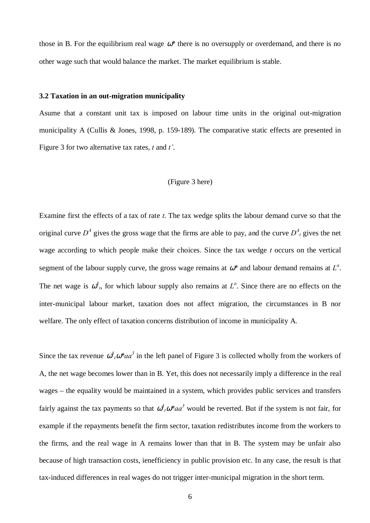those in B. For the equilibrium real wage  $\omega^*$  there is no oversupply or overdemand, and there is no other wage such that would balance the market. The market equilibrium is stable.

#### **3.2 Taxation in an out-migration municipality**

Asume that a constant unit tax is imposed on labour time units in the original out-migration municipality A (Cullis & Jones, 1998, p. 159-189). The comparative static effects are presented in Figure 3 for two alternative tax rates, *t* and *t'*.

#### (Figure 3 here)

Examine first the effects of a tax of rate *t*. The tax wedge splits the labour demand curve so that the original curve  $D^4$  gives the gross wage that the firms are able to pay, and the curve  $D^4$ <sub>t</sub> gives the net wage according to which people make their choices. Since the tax wedge *t* occurs on the vertical segment of the labour supply curve, the gross wage remains at  $\omega^*$  and labour demand remains at  $L^a$ . The net wage is  $\omega^4$ , for which labour supply also remains at  $L^a$ . Since there are no effects on the inter-municipal labour market, taxation does not affect migration, the circumstances in B nor welfare. The only effect of taxation concerns distribution of income in municipality A.

Since the tax revenue  $\omega^4_{\ \iota}\omega^* a a^3$  in the left panel of Figure 3 is collected wholly from the workers of A, the net wage becomes lower than in B. Yet, this does not necessarily imply a difference in the real wages – the equality would be maintained in a system, which provides public services and transfers fairly against the tax payments so that  $\omega^4{}_{t}\omega^* a a^3$  would be reverted. But if the system is not fair, for example if the repayments benefit the firm sector, taxation redistributes income from the workers to the firms, and the real wage in A remains lower than that in B. The system may be unfair also because of high transaction costs, ienefficiency in public provision etc. In any case, the result is that tax-induced differences in real wages do not trigger inter-municipal migration in the short term.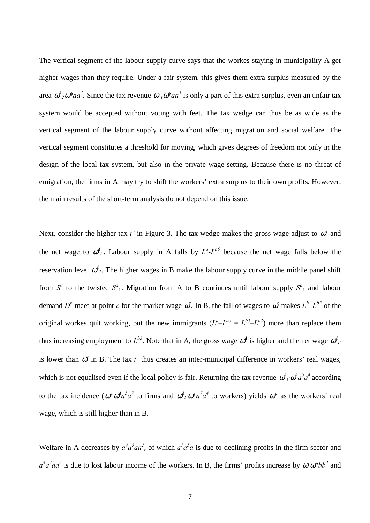The vertical segment of the labour supply curve says that the workes staying in municipality A get higher wages than they require. Under a fair system, this gives them extra surplus measured by the area  $\omega^4{}_2\omega^*$ aa<sup>2</sup>. Since the tax revenue  $\omega^4{}_i\omega^*$ aa<sup>3</sup> is only a part of this extra surplus, even an unfair tax system would be accepted without voting with feet. The tax wedge can thus be as wide as the vertical segment of the labour supply curve without affecting migration and social welfare. The vertical segment constitutes a threshold for moving, which gives degrees of freedom not only in the design of the local tax system, but also in the private wage-setting. Because there is no threat of emigration, the firms in A may try to shift the workers' extra surplus to their own profits. However, the main results of the short-term analysis do not depend on this issue.

Next, consider the higher tax *t'* in Figure 3. The tax wedge makes the gross wage adjust to  $\omega^4$  and the net wage to  $\omega^4_{t'}$ . Labour supply in A falls by  $L^4$ - $L^{a5}$  because the net wage falls below the reservation level  $\omega^4$ <sub>2</sub>. The higher wages in B make the labour supply curve in the middle panel shift from  $S^a$  to the twisted  $S^a_{t'}$ . Migration from A to B continues until labour supply  $S^a_{t'}$  and labour demand  $D^b$  meet at point *e* for the market wage  $\omega^e$ . In B, the fall of wages to  $\omega^e$  makes  $L^b - L^{b2}$  of the original workes quit working, but the new immigrants  $(L^a - L^{a5} = L^{b3} - L^{b2})$  more than replace them thus increasing employment to  $L^{b3}$ . Note that in A, the gross wage  $\omega^4$  is higher and the net wage  $\omega^4_{t}$ is lower than  $\omega^{\beta}$  in B. The tax  $t'$  thus creates an inter-municipal difference in workers' real wages, which is not equalised even if the local policy is fair. Returning the tax revenue  $\omega^4{}_{t'}\omega^4a^5a^4$  according to the tax incidence  $(\omega^* \omega^4 a^5 a^7)$  to firms and  $\omega^4{}_{t'} \omega^* a^7 a^4$  to workers) yields  $\omega^*$  as the workers' real wage, which is still higher than in B.

Welfare in A decreases by  $a^4 a^5 a a^2$ , of which  $a^7 a^5 a$  is due to declining profits in the firm sector and  $a^4a^7aa^2$  is due to lost labour income of the workers. In B, the firms' profits increase by  $\omega^2 \omega^* b b^3$  and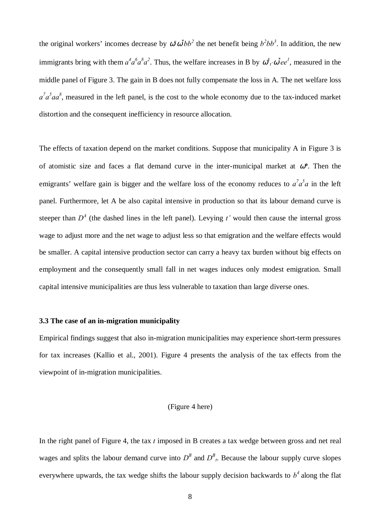the original workers' incomes decrease by  $\omega^* \omega^* b b^2$  the net benefit being  $b^2 b b^3$ . In addition, the new immigrants bring with them  $a^4a^6a^8a^2$ . Thus, the welfare increases in B by  $\omega^4{}_t \omega^* e e^l$ , measured in the middle panel of Figure 3. The gain in B does not fully compensate the loss in A. The net welfare loss  $a^7 a^5 a a^8$ , measured in the left panel, is the cost to the whole economy due to the tax-induced market distortion and the consequent inefficiency in resource allocation.

The effects of taxation depend on the market conditions. Suppose that municipality A in Figure 3 is of atomistic size and faces a flat demand curve in the inter-municipal market at  $\omega^*$ . Then the emigrants' welfare gain is bigger and the welfare loss of the economy reduces to  $a^7a^5a$  in the left panel. Furthermore, let A be also capital intensive in production so that its labour demand curve is steeper than  $D<sup>4</sup>$  (the dashed lines in the left panel). Levying  $t'$  would then cause the internal gross wage to adjust more and the net wage to adjust less so that emigration and the welfare effects would be smaller. A capital intensive production sector can carry a heavy tax burden without big effects on employment and the consequently small fall in net wages induces only modest emigration. Small capital intensive municipalities are thus less vulnerable to taxation than large diverse ones.

#### **3.3 The case of an in-migration municipality**

Empirical findings suggest that also in-migration municipalities may experience short-term pressures for tax increases (Kallio et al., 2001). Figure 4 presents the analysis of the tax effects from the viewpoint of in-migration municipalities.

#### (Figure 4 here)

In the right panel of Figure 4, the tax *t* imposed in B creates a tax wedge between gross and net real wages and splits the labour demand curve into  $D^B$  and  $D^B$ <sub>t</sub>. Because the labour supply curve slopes everywhere upwards, the tax wedge shifts the labour supply decision backwards to *b 4* along the flat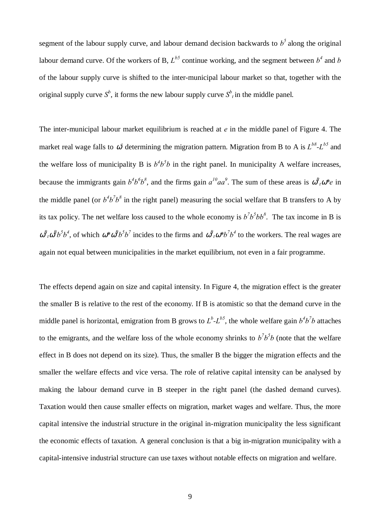segment of the labour supply curve, and labour demand decision backwards to  $b<sup>5</sup>$  along the original labour demand curve. Of the workers of B,  $L^{b5}$  continue working, and the segment between  $b^4$  and  $b$ of the labour supply curve is shifted to the inter-municipal labour market so that, together with the original supply curve  $S^b$ , it forms the new labour supply curve  $S^b{}_t$  in the middle panel.

The inter-municipal labour market equilibrium is reached at *e* in the middle panel of Figure 4. The market real wage falls to  $\omega^{\beta}$  determining the migration pattern. Migration from B to A is  $L^{b8}$ - $L^{b5}$  and the welfare loss of municipality B is  $b^4b^5b$  in the right panel. In municipality A welfare increases, because the immigrants gain  $b^4b^6b^8$ , and the firms gain  $a^{10}aa^9$ . The sum of these areas is  $\omega^B{}_t\omega^*e$  in the middle panel (or  $b^4b^7b^8$  in the right panel) measuring the social welfare that B transfers to A by its tax policy. The net welfare loss caused to the whole economy is  $b^7b^5bb^8$ . The tax income in B is  $\omega^B_{\mu} \omega^B b^5 b^4$ , of which  $\omega^* \omega^B b^5 b^7$  incides to the firms and  $\omega^B_{\mu} \omega^* b^7 b^4$  to the workers. The real wages are again not equal between municipalities in the market equilibrium, not even in a fair programme.

The effects depend again on size and capital intensity. In Figure 4, the migration effect is the greater the smaller B is relative to the rest of the economy. If B is atomistic so that the demand curve in the middle panel is horizontal, emigration from B grows to  $L^b$ - $L^{b5}$ , the whole welfare gain  $b^4b^7b$  attaches to the emigrants, and the welfare loss of the whole economy shrinks to  $b^7b^5b$  (note that the welfare effect in B does not depend on its size). Thus, the smaller B the bigger the migration effects and the smaller the welfare effects and vice versa. The role of relative capital intensity can be analysed by making the labour demand curve in B steeper in the right panel (the dashed demand curves). Taxation would then cause smaller effects on migration, market wages and welfare. Thus, the more capital intensive the industrial structure in the original in-migration municipality the less significant the economic effects of taxation. A general conclusion is that a big in-migration municipality with a capital-intensive industrial structure can use taxes without notable effects on migration and welfare.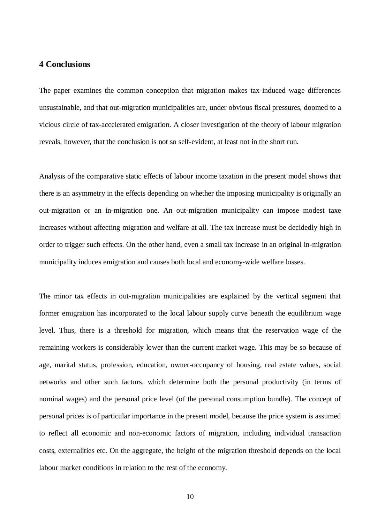#### **4 Conclusions**

The paper examines the common conception that migration makes tax-induced wage differences unsustainable, and that out-migration municipalities are, under obvious fiscal pressures, doomed to a vicious circle of tax-accelerated emigration. A closer investigation of the theory of labour migration reveals, however, that the conclusion is not so self-evident, at least not in the short run.

Analysis of the comparative static effects of labour income taxation in the present model shows that there is an asymmetry in the effects depending on whether the imposing municipality is originally an out-migration or an in-migration one. An out-migration municipality can impose modest taxe increases without affecting migration and welfare at all. The tax increase must be decidedly high in order to trigger such effects. On the other hand, even a small tax increase in an original in-migration municipality induces emigration and causes both local and economy-wide welfare losses.

The minor tax effects in out-migration municipalities are explained by the vertical segment that former emigration has incorporated to the local labour supply curve beneath the equilibrium wage level. Thus, there is a threshold for migration, which means that the reservation wage of the remaining workers is considerably lower than the current market wage. This may be so because of age, marital status, profession, education, owner-occupancy of housing, real estate values, social networks and other such factors, which determine both the personal productivity (in terms of nominal wages) and the personal price level (of the personal consumption bundle). The concept of personal prices is of particular importance in the present model, because the price system is assumed to reflect all economic and non-economic factors of migration, including individual transaction costs, externalities etc. On the aggregate, the height of the migration threshold depends on the local labour market conditions in relation to the rest of the economy.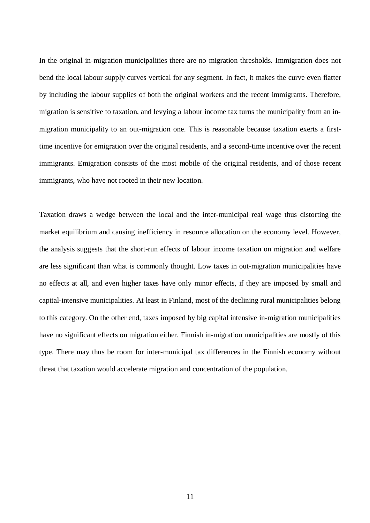In the original in-migration municipalities there are no migration thresholds. Immigration does not bend the local labour supply curves vertical for any segment. In fact, it makes the curve even flatter by including the labour supplies of both the original workers and the recent immigrants. Therefore, migration is sensitive to taxation, and levying a labour income tax turns the municipality from an inmigration municipality to an out-migration one. This is reasonable because taxation exerts a firsttime incentive for emigration over the original residents, and a second-time incentive over the recent immigrants. Emigration consists of the most mobile of the original residents, and of those recent immigrants, who have not rooted in their new location.

Taxation draws a wedge between the local and the inter-municipal real wage thus distorting the market equilibrium and causing inefficiency in resource allocation on the economy level. However, the analysis suggests that the short-run effects of labour income taxation on migration and welfare are less significant than what is commonly thought. Low taxes in out-migration municipalities have no effects at all, and even higher taxes have only minor effects, if they are imposed by small and capital-intensive municipalities. At least in Finland, most of the declining rural municipalities belong to this category. On the other end, taxes imposed by big capital intensive in-migration municipalities have no significant effects on migration either. Finnish in-migration municipalities are mostly of this type. There may thus be room for inter-municipal tax differences in the Finnish economy without threat that taxation would accelerate migration and concentration of the population.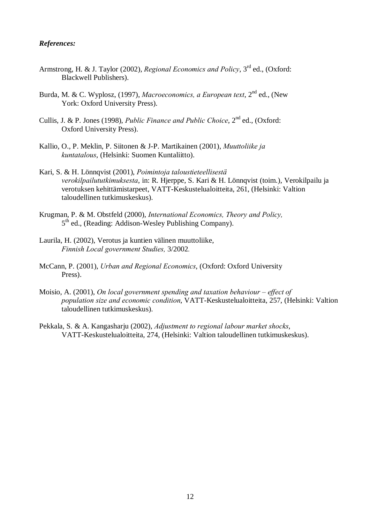#### *References:*

- Armstrong, H. & J. Taylor (2002), *Regional Economics and Policy*, 3rd ed., (Oxford: Blackwell Publishers).
- Burda, M. & C. Wyplosz, (1997), *Macroeconomics, a European text*, 2<sup>nd</sup> ed., (New York: Oxford University Press).
- Cullis, J. & P. Jones (1998), *Public Finance and Public Choice*, 2<sup>nd</sup> ed., (Oxford: Oxford University Press).
- Kallio, O., P. Meklin, P. Siitonen & J-P. Martikainen (2001), *Muuttoliike ja kuntatalous*, (Helsinki: Suomen Kuntaliitto).
- Kari, S. & H. Lönnqvist (2001), *Poimintoja taloustieteellisestä verokilpailututkimuksesta*, in: R. Hjerppe, S. Kari & H. Lönnqvist (toim.), Verokilpailu ja verotuksen kehittämistarpeet, VATT-Keskustelualoitteita, 261, (Helsinki: Valtion taloudellinen tutkimuskeskus).
- Krugman, P. & M. Obstfeld (2000), *International Economics, Theory and Policy,* 5<sup>th</sup> ed., (Reading: Addison-Wesley Publishing Company).
- Laurila, H. (2002), Verotus ja kuntien välinen muuttoliike, *Finnish Local government Studies,* 3/2002*.*
- McCann, P. (2001), *Urban and Regional Economics*, (Oxford: Oxford University Press).
- Moisio, A. (2001), *On local government spending and taxation behaviour effect of population size and economic condition*, VATT-Keskustelualoitteita, 257, (Helsinki: Valtion taloudellinen tutkimuskeskus).
- Pekkala, S. & A. Kangasharju (2002), *Adjustment to regional labour market shocks*, VATT-Keskustelualoitteita, 274, (Helsinki: Valtion taloudellinen tutkimuskeskus).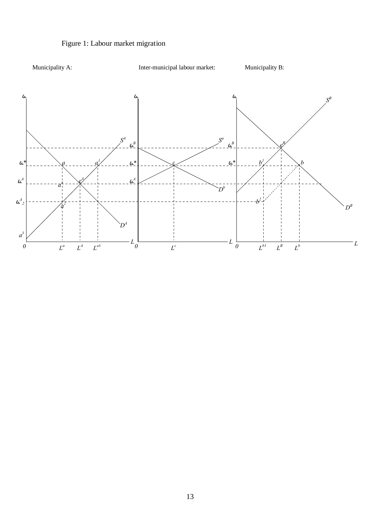

## Figure 1: Labour market migration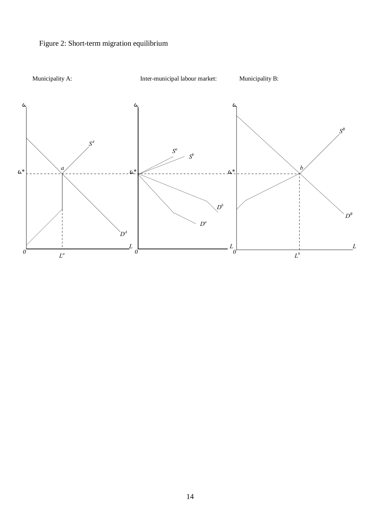

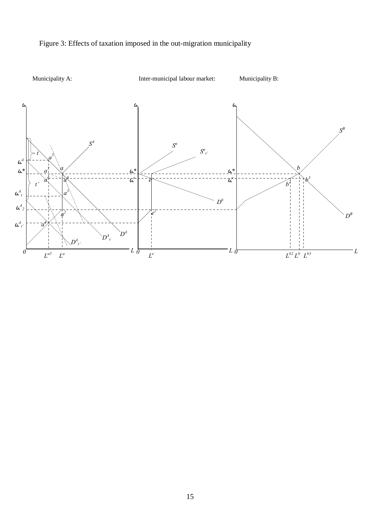

## Figure 3: Effects of taxation imposed in the out-migration municipality